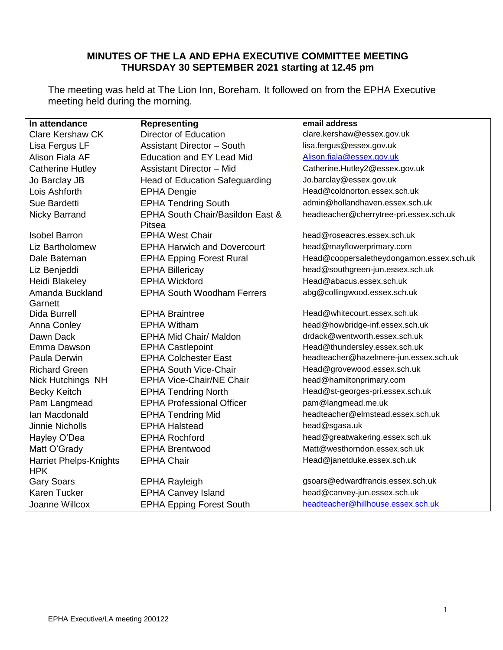## **MINUTES OF THE LA AND EPHA EXECUTIVE COMMITTEE MEETING THURSDAY 30 SEPTEMBER 2021 starting at 12.45 pm**

The meeting was held at The Lion Inn, Boreham. It followed on from the EPHA Executive meeting held during the morning.

| In attendance                               | <b>Representing</b>                        | email address                             |
|---------------------------------------------|--------------------------------------------|-------------------------------------------|
| <b>Clare Kershaw CK</b>                     | Director of Education                      | clare.kershaw@essex.gov.uk                |
| Lisa Fergus LF                              | <b>Assistant Director - South</b>          | lisa.fergus@essex.gov.uk                  |
| Alison Fiala AF                             | <b>Education and EY Lead Mid</b>           | Alison.fiala@essex.gov.uk                 |
| <b>Catherine Hutley</b>                     | <b>Assistant Director - Mid</b>            | Catherine.Hutley2@essex.gov.uk            |
| Jo Barclay JB                               | <b>Head of Education Safeguarding</b>      | Jo.barclay@essex.gov.uk                   |
| Lois Ashforth                               | <b>EPHA Dengie</b>                         | Head@coldnorton.essex.sch.uk              |
| Sue Bardetti                                | <b>EPHA Tendring South</b>                 | admin@hollandhaven.essex.sch.uk           |
| <b>Nicky Barrand</b>                        | EPHA South Chair/Basildon East &<br>Pitsea | headteacher@cherrytree-pri.essex.sch.uk   |
| <b>Isobel Barron</b>                        | <b>EPHA West Chair</b>                     | head@roseacres.essex.sch.uk               |
| Liz Bartholomew                             | <b>EPHA Harwich and Dovercourt</b>         | head@mayflowerprimary.com                 |
| Dale Bateman                                | <b>EPHA Epping Forest Rural</b>            | Head@coopersaletheydongarnon.essex.sch.uk |
| Liz Benjeddi                                | <b>EPHA Billericay</b>                     | head@southgreen-jun.essex.sch.uk          |
| Heidi Blakeley                              | <b>EPHA Wickford</b>                       | Head@abacus.essex.sch.uk                  |
| Amanda Buckland                             | <b>EPHA South Woodham Ferrers</b>          | abg@collingwood.essex.sch.uk              |
| Garnett                                     |                                            |                                           |
| Dida Burrell                                | <b>EPHA Braintree</b>                      | Head@whitecourt.essex.sch.uk              |
| Anna Conley                                 | <b>EPHA Witham</b>                         | head@howbridge-inf.essex.sch.uk           |
| Dawn Dack                                   | <b>EPHA Mid Chair/ Maldon</b>              | drdack@wentworth.essex.sch.uk             |
| Emma Dawson                                 | <b>EPHA Castlepoint</b>                    | Head@thundersley.essex.sch.uk             |
| Paula Derwin                                | <b>EPHA Colchester East</b>                | headteacher@hazelmere-jun.essex.sch.uk    |
| <b>Richard Green</b>                        | <b>EPHA South Vice-Chair</b>               | Head@grovewood.essex.sch.uk               |
| Nick Hutchings NH                           | <b>EPHA Vice-Chair/NE Chair</b>            | head@hamiltonprimary.com                  |
| <b>Becky Keitch</b>                         | <b>EPHA Tendring North</b>                 | Head@st-georges-pri.essex.sch.uk          |
| Pam Langmead                                | <b>EPHA Professional Officer</b>           | pam@langmead.me.uk                        |
| Ian Macdonald                               | <b>EPHA Tendring Mid</b>                   | headteacher@elmstead.essex.sch.uk         |
| <b>Jinnie Nicholls</b>                      | <b>EPHA Halstead</b>                       | head@sgasa.uk                             |
| Hayley O'Dea                                | <b>EPHA Rochford</b>                       | head@greatwakering.essex.sch.uk           |
| Matt O'Grady                                | <b>EPHA Brentwood</b>                      | Matt@westhorndon.essex.sch.uk             |
| <b>Harriet Phelps-Knights</b><br><b>HPK</b> | <b>EPHA Chair</b>                          | Head@janetduke.essex.sch.uk               |
| <b>Gary Soars</b>                           | <b>EPHA Rayleigh</b>                       | gsoars@edwardfrancis.essex.sch.uk         |
| Karen Tucker                                | <b>EPHA Canvey Island</b>                  | head@canvey-jun.essex.sch.uk              |
| Joanne Willcox                              | <b>EPHA Epping Forest South</b>            | headteacher@hillhouse.essex.sch.uk        |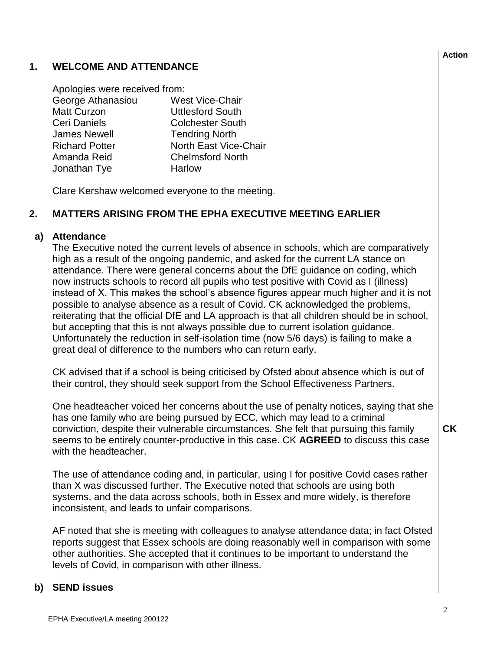### **1. WELCOME AND ATTENDANCE**

| Apologies were received from: |                         |
|-------------------------------|-------------------------|
| George Athanasiou             | <b>West Vice-Chair</b>  |
| <b>Matt Curzon</b>            | <b>Uttlesford South</b> |
| Ceri Daniels                  | <b>Colchester South</b> |
| <b>James Newell</b>           | <b>Tendring North</b>   |
| <b>Richard Potter</b>         | North East Vice-Chair   |
| Amanda Reid                   | <b>Chelmsford North</b> |
| Jonathan Tye                  | Harlow                  |

Clare Kershaw welcomed everyone to the meeting.

#### **2. MATTERS ARISING FROM THE EPHA EXECUTIVE MEETING EARLIER**

#### **a) Attendance**

The Executive noted the current levels of absence in schools, which are comparatively high as a result of the ongoing pandemic, and asked for the current LA stance on attendance. There were general concerns about the DfE guidance on coding, which now instructs schools to record all pupils who test positive with Covid as I (illness) instead of X. This makes the school's absence figures appear much higher and it is not possible to analyse absence as a result of Covid. CK acknowledged the problems, reiterating that the official DfE and LA approach is that all children should be in school, but accepting that this is not always possible due to current isolation guidance. Unfortunately the reduction in self-isolation time (now 5/6 days) is failing to make a great deal of difference to the numbers who can return early.

CK advised that if a school is being criticised by Ofsted about absence which is out of their control, they should seek support from the School Effectiveness Partners.

One headteacher voiced her concerns about the use of penalty notices, saying that she has one family who are being pursued by ECC, which may lead to a criminal conviction, despite their vulnerable circumstances. She felt that pursuing this family seems to be entirely counter-productive in this case. CK **AGREED** to discuss this case with the headteacher.

The use of attendance coding and, in particular, using I for positive Covid cases rather than X was discussed further. The Executive noted that schools are using both systems, and the data across schools, both in Essex and more widely, is therefore inconsistent, and leads to unfair comparisons.

AF noted that she is meeting with colleagues to analyse attendance data; in fact Ofsted reports suggest that Essex schools are doing reasonably well in comparison with some other authorities. She accepted that it continues to be important to understand the levels of Covid, in comparison with other illness.

#### **b) SEND issues**

#### **Action**

**CK**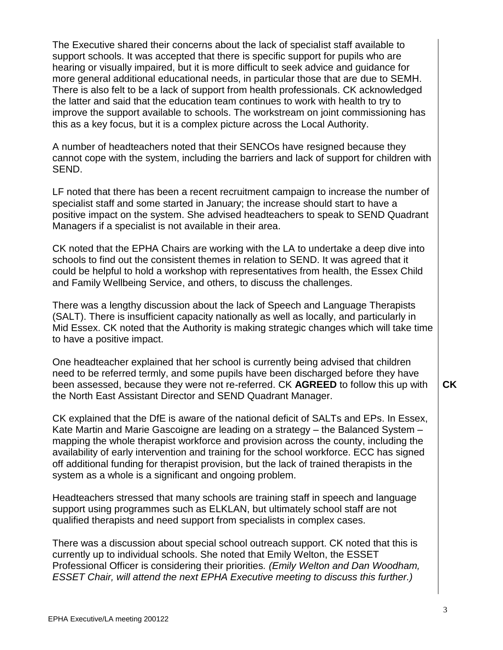The Executive shared their concerns about the lack of specialist staff available to support schools. It was accepted that there is specific support for pupils who are hearing or visually impaired, but it is more difficult to seek advice and guidance for more general additional educational needs, in particular those that are due to SEMH. There is also felt to be a lack of support from health professionals. CK acknowledged the latter and said that the education team continues to work with health to try to improve the support available to schools. The workstream on joint commissioning has this as a key focus, but it is a complex picture across the Local Authority.

A number of headteachers noted that their SENCOs have resigned because they cannot cope with the system, including the barriers and lack of support for children with SEND.

LF noted that there has been a recent recruitment campaign to increase the number of specialist staff and some started in January; the increase should start to have a positive impact on the system. She advised headteachers to speak to SEND Quadrant Managers if a specialist is not available in their area.

CK noted that the EPHA Chairs are working with the LA to undertake a deep dive into schools to find out the consistent themes in relation to SEND. It was agreed that it could be helpful to hold a workshop with representatives from health, the Essex Child and Family Wellbeing Service, and others, to discuss the challenges.

There was a lengthy discussion about the lack of Speech and Language Therapists (SALT). There is insufficient capacity nationally as well as locally, and particularly in Mid Essex. CK noted that the Authority is making strategic changes which will take time to have a positive impact.

One headteacher explained that her school is currently being advised that children need to be referred termly, and some pupils have been discharged before they have been assessed, because they were not re-referred. CK **AGREED** to follow this up with the North East Assistant Director and SEND Quadrant Manager. **CK**

CK explained that the DfE is aware of the national deficit of SALTs and EPs. In Essex, Kate Martin and Marie Gascoigne are leading on a strategy – the Balanced System – mapping the whole therapist workforce and provision across the county, including the availability of early intervention and training for the school workforce. ECC has signed off additional funding for therapist provision, but the lack of trained therapists in the system as a whole is a significant and ongoing problem.

Headteachers stressed that many schools are training staff in speech and language support using programmes such as ELKLAN, but ultimately school staff are not qualified therapists and need support from specialists in complex cases.

There was a discussion about special school outreach support. CK noted that this is currently up to individual schools. She noted that Emily Welton, the ESSET Professional Officer is considering their priorities*. (Emily Welton and Dan Woodham, ESSET Chair, will attend the next EPHA Executive meeting to discuss this further.)*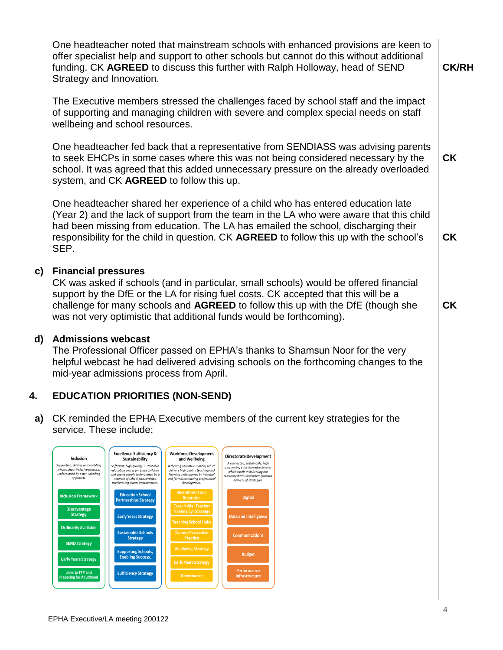One headteacher noted that mainstream schools with enhanced provisions are keen to offer specialist help and support to other schools but cannot do this without additional funding. CK **AGREED** to discuss this further with Ralph Holloway, head of SEND Strategy and Innovation.

The Executive members stressed the challenges faced by school staff and the impact of supporting and managing children with severe and complex special needs on staff wellbeing and school resources.

One headteacher fed back that a representative from SENDIASS was advising parents to seek EHCPs in some cases where this was not being considered necessary by the school. It was agreed that this added unnecessary pressure on the already overloaded system, and CK **AGREED** to follow this up. **CK**

One headteacher shared her experience of a child who has entered education late (Year 2) and the lack of support from the team in the LA who were aware that this child had been missing from education. The LA has emailed the school, discharging their responsibility for the child in question. CK **AGREED** to follow this up with the school's SEP.

### **c) Financial pressures**

CK was asked if schools (and in particular, small schools) would be offered financial support by the DfE or the LA for rising fuel costs. CK accepted that this will be a challenge for many schools and **AGREED** to follow this up with the DfE (though she was not very optimistic that additional funds would be forthcoming).

### **d) Admissions webcast**

The Professional Officer passed on EPHA's thanks to Shamsun Noor for the very helpful webcast he had delivered advising schools on the forthcoming changes to the mid-year admissions process from April.

#### **4. EDUCATION PRIORITIES (NON-SEND)**

**a)** CK reminded the EPHA Executive members of the current key strategies for the service. These include:



**CK**

**CK**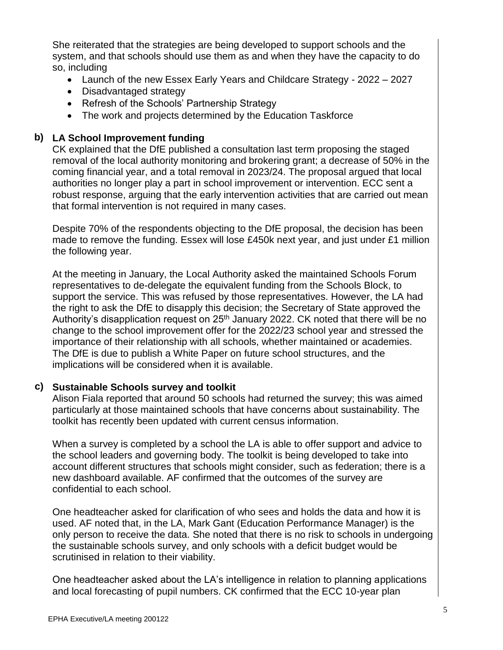She reiterated that the strategies are being developed to support schools and the system, and that schools should use them as and when they have the capacity to do so, including

- Launch of the new Essex Early Years and Childcare Strategy 2022 2027
- Disadvantaged strategy
- Refresh of the Schools' Partnership Strategy
- The work and projects determined by the Education Taskforce

# **b) LA School Improvement funding**

CK explained that the DfE published a consultation last term proposing the staged removal of the local authority monitoring and brokering grant; a decrease of 50% in the coming financial year, and a total removal in 2023/24. The proposal argued that local authorities no longer play a part in school improvement or intervention. ECC sent a robust response, arguing that the early intervention activities that are carried out mean that formal intervention is not required in many cases.

Despite 70% of the respondents objecting to the DfE proposal, the decision has been made to remove the funding. Essex will lose £450k next year, and just under £1 million the following year.

At the meeting in January, the Local Authority asked the maintained Schools Forum representatives to de-delegate the equivalent funding from the Schools Block, to support the service. This was refused by those representatives. However, the LA had the right to ask the DfE to disapply this decision; the Secretary of State approved the Authority's disapplication request on 25<sup>th</sup> January 2022. CK noted that there will be no change to the school improvement offer for the 2022/23 school year and stressed the importance of their relationship with all schools, whether maintained or academies. The DfE is due to publish a White Paper on future school structures, and the implications will be considered when it is available.

# **c) Sustainable Schools survey and toolkit**

Alison Fiala reported that around 50 schools had returned the survey; this was aimed particularly at those maintained schools that have concerns about sustainability. The toolkit has recently been updated with current census information.

When a survey is completed by a school the LA is able to offer support and advice to the school leaders and governing body. The toolkit is being developed to take into account different structures that schools might consider, such as federation; there is a new dashboard available. AF confirmed that the outcomes of the survey are confidential to each school.

One headteacher asked for clarification of who sees and holds the data and how it is used. AF noted that, in the LA, Mark Gant (Education Performance Manager) is the only person to receive the data. She noted that there is no risk to schools in undergoing the sustainable schools survey, and only schools with a deficit budget would be scrutinised in relation to their viability.

One headteacher asked about the LA's intelligence in relation to planning applications and local forecasting of pupil numbers. CK confirmed that the ECC 10-year plan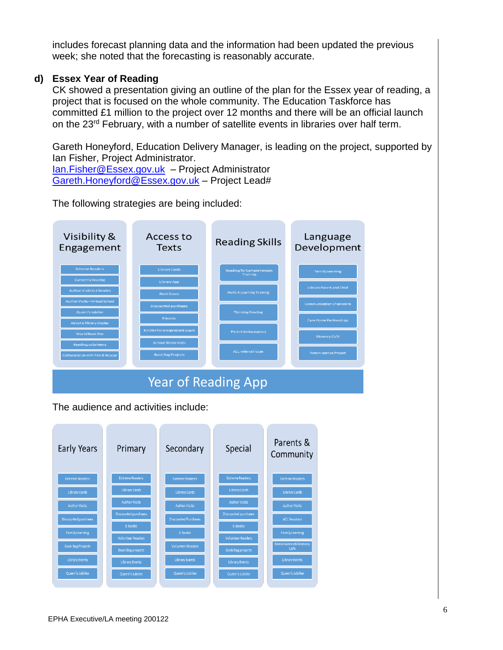includes forecast planning data and the information had been updated the previous week; she noted that the forecasting is reasonably accurate.

#### **d) Essex Year of Reading**

CK showed a presentation giving an outline of the plan for the Essex year of reading, a project that is focused on the whole community. The Education Taskforce has committed £1 million to the project over 12 months and there will be an official launch on the 23<sup>rd</sup> February, with a number of satellite events in libraries over half term.

Gareth Honeyford, Education Delivery Manager, is leading on the project, supported by Ian Fisher, Project Administrator.

[Ian.Fisher@Essex.gov.uk](mailto:Ian.Fisher@Essex.gov.uk) – Project Administrator [Gareth.Honeyford@Essex.gov.uk](mailto:Gareth.Honeyford@Essex.gov.uk) – Project Lead#

The following strategies are being included:



The audience and activities include:

| Early Years              | Primary                  | Secondary                   | Special                  | Parents &<br>Community |
|--------------------------|--------------------------|-----------------------------|--------------------------|------------------------|
| <b>Extreme Readers</b>   | <b>Extreme Readers</b>   | <b>Extreme Readers</b>      | <b>Extreme Readers</b>   | <b>Extreme Readers</b> |
| <b>Library Cards</b>     | <b>Library Cards</b>     | <b>Library Cards</b>        | <b>Library Cards</b>     | <b>Library Cards</b>   |
| <b>Author Visits</b>     | <b>Author Visits</b>     | <b>Author Visits</b>        | <b>Author Visits</b>     | <b>Author Visits</b>   |
| Discounted purchases     | Discounted purchases     | <b>Discounted Purchases</b> | Discounted purchases     | <b>ACL Sessions</b>    |
| <b>Family Learning</b>   | E-books                  | E-Books                     | E-books                  | <b>Family Learning</b> |
| <b>Book Bag Projects</b> | <b>Volunteer Readers</b> | <b>Volunteer Readers</b>    | <b>Volunteer Readers</b> | Reminiscence& Memory   |
|                          | <b>Book Bag projects</b> |                             | <b>Book Bag projects</b> | Cafe                   |
| <b>Library Events</b>    | <b>Library Events</b>    | <b>Library Events</b>       | <b>Library Events</b>    | <b>Library Events</b>  |
| Queen's Jubilee          | Queen's Jubilee          | Queen's Jubilee             | Queen's Jubilee          | Queen's Jubilee        |
|                          |                          |                             |                          |                        |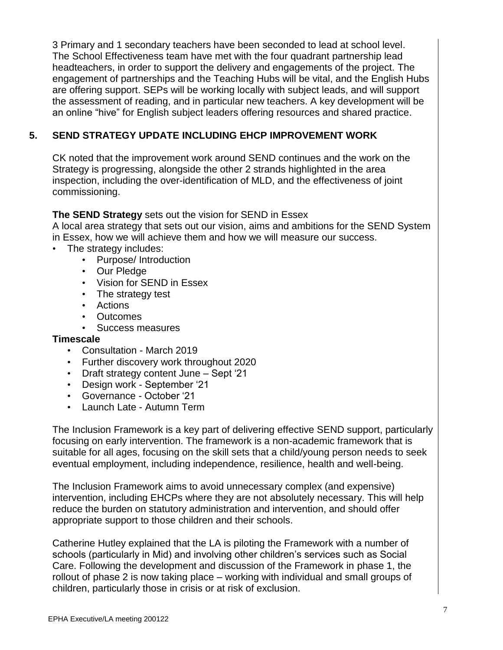3 Primary and 1 secondary teachers have been seconded to lead at school level. The School Effectiveness team have met with the four quadrant partnership lead headteachers, in order to support the delivery and engagements of the project. The engagement of partnerships and the Teaching Hubs will be vital, and the English Hubs are offering support. SEPs will be working locally with subject leads, and will support the assessment of reading, and in particular new teachers. A key development will be an online "hive" for English subject leaders offering resources and shared practice.

# **5. SEND STRATEGY UPDATE INCLUDING EHCP IMPROVEMENT WORK**

CK noted that the improvement work around SEND continues and the work on the Strategy is progressing, alongside the other 2 strands highlighted in the area inspection, including the over-identification of MLD, and the effectiveness of joint commissioning.

### **The SEND Strategy** sets out the vision for SEND in Essex

A local area strategy that sets out our vision, aims and ambitions for the SEND System in Essex, how we will achieve them and how we will measure our success.

- The strategy includes:
	- Purpose/ Introduction
	- Our Pledge
	- Vision for SEND in Essex
	- The strategy test
	- Actions
	- Outcomes
	- Success measures

### **Timescale**

- Consultation March 2019
- Further discovery work throughout 2020
- Draft strategy content June Sept '21
- Design work September '21
- Governance October '21
- Launch Late Autumn Term

The Inclusion Framework is a key part of delivering effective SEND support, particularly focusing on early intervention. The framework is a non-academic framework that is suitable for all ages, focusing on the skill sets that a child/young person needs to seek eventual employment, including independence, resilience, health and well-being.

The Inclusion Framework aims to avoid unnecessary complex (and expensive) intervention, including EHCPs where they are not absolutely necessary. This will help reduce the burden on statutory administration and intervention, and should offer appropriate support to those children and their schools.

Catherine Hutley explained that the LA is piloting the Framework with a number of schools (particularly in Mid) and involving other children's services such as Social Care. Following the development and discussion of the Framework in phase 1, the rollout of phase 2 is now taking place – working with individual and small groups of children, particularly those in crisis or at risk of exclusion.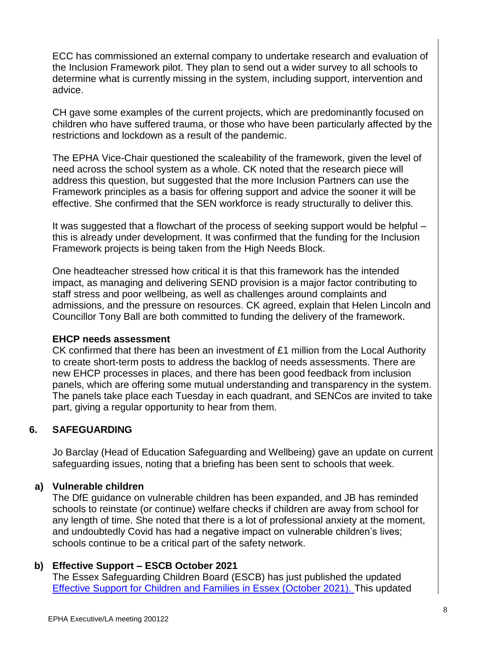ECC has commissioned an external company to undertake research and evaluation of the Inclusion Framework pilot. They plan to send out a wider survey to all schools to determine what is currently missing in the system, including support, intervention and advice.

CH gave some examples of the current projects, which are predominantly focused on children who have suffered trauma, or those who have been particularly affected by the restrictions and lockdown as a result of the pandemic.

The EPHA Vice-Chair questioned the scaleability of the framework, given the level of need across the school system as a whole. CK noted that the research piece will address this question, but suggested that the more Inclusion Partners can use the Framework principles as a basis for offering support and advice the sooner it will be effective. She confirmed that the SEN workforce is ready structurally to deliver this.

It was suggested that a flowchart of the process of seeking support would be helpful – this is already under development. It was confirmed that the funding for the Inclusion Framework projects is being taken from the High Needs Block.

One headteacher stressed how critical it is that this framework has the intended impact, as managing and delivering SEND provision is a major factor contributing to staff stress and poor wellbeing, as well as challenges around complaints and admissions, and the pressure on resources. CK agreed, explain that Helen Lincoln and Councillor Tony Ball are both committed to funding the delivery of the framework.

#### **EHCP needs assessment**

CK confirmed that there has been an investment of £1 million from the Local Authority to create short-term posts to address the backlog of needs assessments. There are new EHCP processes in places, and there has been good feedback from inclusion panels, which are offering some mutual understanding and transparency in the system. The panels take place each Tuesday in each quadrant, and SENCos are invited to take part, giving a regular opportunity to hear from them.

#### **6. SAFEGUARDING**

Jo Barclay (Head of Education Safeguarding and Wellbeing) gave an update on current safeguarding issues, noting that a briefing has been sent to schools that week.

### **a) Vulnerable children**

The DfE guidance on vulnerable children has been expanded, and JB has reminded schools to reinstate (or continue) welfare checks if children are away from school for any length of time. She noted that there is a lot of professional anxiety at the moment, and undoubtedly Covid has had a negative impact on vulnerable children's lives; schools continue to be a critical part of the safety network.

### **b) Effective Support – ESCB October 2021**

The Essex Safeguarding Children Board (ESCB) has just published the updated [Effective Support for Children and Families in Essex \(October 2021\). T](https://news.news.essex.gov.uk/51CD98EBEBC9468BB8CA87D74CD0EAE34985924DBEC41E2382E7F088144DBCC9/4FF1A95EA9CCB6613A3D3A11FA15519A/LE35)his updated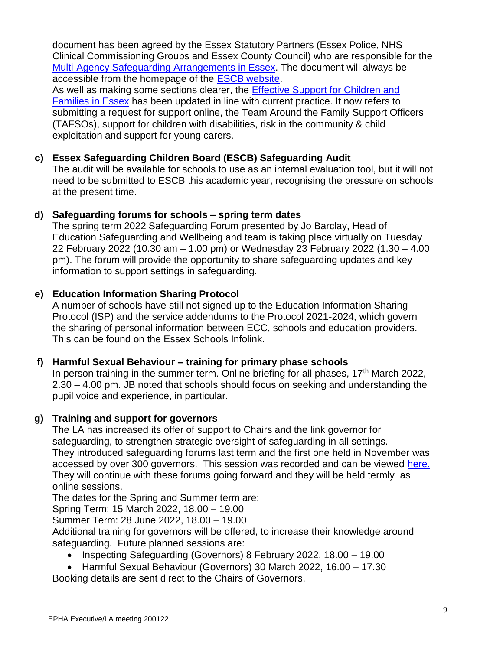document has been agreed by the Essex Statutory Partners (Essex Police, NHS Clinical Commissioning Groups and Essex County Council) who are responsible for the [Multi-Agency Safeguarding Arrangements in Essex.](https://news.news.essex.gov.uk/3F6A3A161876D8D356E8F806E0F140868EEE7CF01D3A4F07CF48D3A9503A8405/4FF1A95EA9CCB6613A3D3A11FA15519A/LE35) The document will always be accessible from the homepage of the [ESCB website.](https://news.news.essex.gov.uk/FEBC412DC8A30BBBACC039AECB516792E34259E8329E43968D2142CCDF2431F0/4FF1A95EA9CCB6613A3D3A11FA15519A/LE35)

As well as making some sections clearer, the [Effective Support for Children and](https://news.news.essex.gov.uk/D9E815CF1EFEFB29491B80909F80CF3601D1501C822A47958D74D816AF3C964F/4FF1A95EA9CCB6613A3D3A11FA15519A/LE35)  [Families in Essex](https://news.news.essex.gov.uk/D9E815CF1EFEFB29491B80909F80CF3601D1501C822A47958D74D816AF3C964F/4FF1A95EA9CCB6613A3D3A11FA15519A/LE35) has been updated in line with current practice. It now refers to submitting a request for support online, the Team Around the Family Support Officers (TAFSOs), support for children with disabilities, risk in the community & child exploitation and support for young carers.

# **c) Essex Safeguarding Children Board (ESCB) Safeguarding Audit**

The audit will be available for schools to use as an internal evaluation tool, but it will not need to be submitted to ESCB this academic year, recognising the pressure on schools at the present time.

## **d) Safeguarding forums for schools – spring term dates**

The spring term 2022 Safeguarding Forum presented by Jo Barclay, Head of Education Safeguarding and Wellbeing and team is taking place virtually on Tuesday 22 February 2022 (10.30 am – 1.00 pm) or Wednesday 23 February 2022 (1.30 – 4.00 pm). The forum will provide the opportunity to share safeguarding updates and key information to support settings in safeguarding.

## **e) Education Information Sharing Protocol**

A number of schools have still not signed up to the Education Information Sharing Protocol (ISP) and the service addendums to the Protocol 2021-2024, which govern the sharing of personal information between ECC, schools and education providers. This can be found on the Essex Schools Infolink.

### **f) Harmful Sexual Behaviour – training for primary phase schools**

In person training in the summer term. Online briefing for all phases,  $17<sup>th</sup>$  March 2022, 2.30 – 4.00 pm. JB noted that schools should focus on seeking and understanding the pupil voice and experience, in particular.

### **g) Training and support for governors**

The LA has increased its offer of support to Chairs and the link governor for safeguarding, to strengthen strategic oversight of safeguarding in all settings. They introduced safeguarding forums last term and the first one held in November was accessed by over 300 governors. This session was recorded and can be viewed [here.](https://eur02.safelinks.protection.outlook.com/?url=https%3A%2F%2Fyoutu.be%2Fmtw1uGIB1I8&data=04%7C01%7C%7C23b1e6bbfd164e6b4df008d9af30f7d3%7Ca8b4324f155c4215a0f17ed8cc9a992f%7C0%7C0%7C637733447118245071%7CUnknown%7CTWFpbGZsb3d8eyJWIjoiMC4wLjAwMDAiLCJQIjoiV2luMzIiLCJBTiI6Ik1haWwiLCJXVCI6Mn0%3D%7C3000&sdata=js%2Fro0aOxk%2FPb0iCFXV%2BDg2WAbqKTWcmocq1ByrEv0k%3D&reserved=0) They will continue with these forums going forward and they will be held termly as online sessions.

The dates for the Spring and Summer term are:

Spring Term: 15 March 2022, 18.00 – 19.00

Summer Term: 28 June 2022, 18.00 – 19.00

Additional training for governors will be offered, to increase their knowledge around safeguarding. Future planned sessions are:

- Inspecting Safeguarding (Governors) 8 February 2022, 18.00 19.00
- Harmful Sexual Behaviour (Governors) 30 March 2022, 16.00 17.30

Booking details are sent direct to the Chairs of Governors.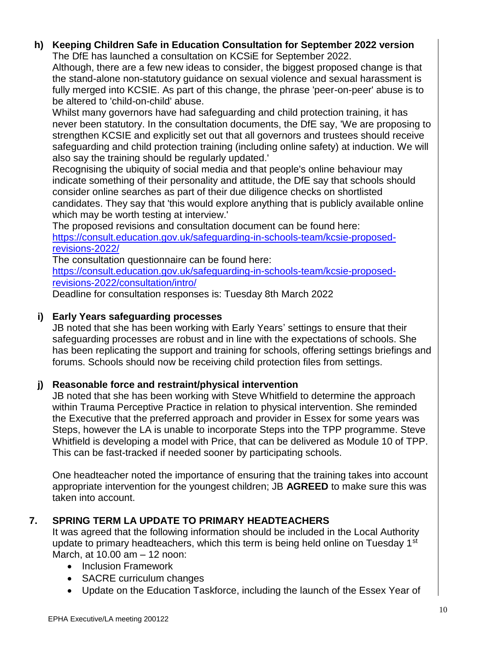#### **h) Keeping Children Safe in Education Consultation for September 2022 version**  The DfE has launched a consultation on KCSiE for September 2022.

Although, there are a few new ideas to consider, the biggest proposed change is that the stand-alone non-statutory guidance on sexual violence and sexual harassment is fully merged into KCSIE. As part of this change, the phrase 'peer-on-peer' abuse is to be altered to 'child-on-child' abuse.

Whilst many governors have had safeguarding and child protection training, it has never been statutory. In the consultation documents, the DfE say, 'We are proposing to strengthen KCSIE and explicitly set out that all governors and trustees should receive safeguarding and child protection training (including online safety) at induction. We will also say the training should be regularly updated.'

Recognising the ubiquity of social media and that people's online behaviour may indicate something of their personality and attitude, the DfE say that schools should consider online searches as part of their due diligence checks on shortlisted candidates. They say that 'this would explore anything that is publicly available online which may be worth testing at interview.'

The proposed revisions and consultation document can be found here: [https://consult.education.gov.uk/safeguarding-in-schools-team/kcsie-proposed](http://email.kjbm.safeguardinginschools.co.uk/c/eJyFUMtuhDAM_JrlUoFCIDwOObRqK_XcD0AmNmwWSFAcVtq_b6j20FslW7I88oxnaAO7DvGxk_44x7fgAQ1wzOgXsahlWXeNbFRbZ1fdTV03nW3G1pheTZ0wiEZ2faUmOUHGNtLzqlWl6JTMVn2NcedL9XqRn6mMd3yssSA8DETrXTH7e3EsCWKYaD4goHVzbl3O5ur9ynkk2BK8GLaU78HvngnzQHfL6Z5zKaRMeLYRM8w0MDmkMKBPJpxebuNW_KW27klcGJ-En16RVnun8DjfV1XTy7ZWqsmsPtlFWbaiqRrRF6ZVqhJVWSKOIHt1qcW_CkHvyUEtVnDzRoDFRuc66u-U18vX-0VWfxKDfR8cbKQXuMFoc44-0BS8i3y6T7mdsWWosVb9KH4APw-Ygw)[revisions-2022/](http://email.kjbm.safeguardinginschools.co.uk/c/eJyFUMtuhDAM_JrlUoFCIDwOObRqK_XcD0AmNmwWSFAcVtq_b6j20FslW7I88oxnaAO7DvGxk_44x7fgAQ1wzOgXsahlWXeNbFRbZ1fdTV03nW3G1pheTZ0wiEZ2faUmOUHGNtLzqlWl6JTMVn2NcedL9XqRn6mMd3yssSA8DETrXTH7e3EsCWKYaD4goHVzbl3O5ur9ynkk2BK8GLaU78HvngnzQHfL6Z5zKaRMeLYRM8w0MDmkMKBPJpxebuNW_KW27klcGJ-En16RVnun8DjfV1XTy7ZWqsmsPtlFWbaiqRrRF6ZVqhJVWSKOIHt1qcW_CkHvyUEtVnDzRoDFRuc66u-U18vX-0VWfxKDfR8cbKQXuMFoc44-0BS8i3y6T7mdsWWosVb9KH4APw-Ygw)

The consultation questionnaire can be found here:

[https://consult.education.gov.uk/safeguarding-in-schools-team/kcsie-proposed](http://email.kjbm.safeguardinginschools.co.uk/c/eJyFkMFqxCAQhp8muZQEY9RsDh5a2kLPfYBgnNmsm0SDYxb27WuWhfZWEEbnZ-b3_3A1bhnSfUP9cVzfYjBgDaUSH4oDzRtxUlzJTpQXDVz0jYIWTniWXCorOy4aZUc4W2CiL8klfE51smEnyctFX1LaqGhfC_6Zjw2e9iXVCLs1yQVfT-FW73OWyJxx2k0E56fK-YrsJYSFqoRmzfJsyWG1xbAFQqgi3hzleao44_x382NpfjqfYsi1XJHITDgQesA4QMjZvJ6v41r_dXT-6VfbkP_zRAC4uBvG-5FKtqrnnZBSlU4fpqxpOqZaxfradlK2rG0agNHwXhaC_esQ9ZaDCbYYP61ooF7xaCf9nTG-fL0XvP0D0mzb4M2KejZXM7qKUoh4jsEnOqBknEfwEjQI2Y_sB7R5oC8)[revisions-2022/consultation/intro/](http://email.kjbm.safeguardinginschools.co.uk/c/eJyFkMFqxCAQhp8muZQEY9RsDh5a2kLPfYBgnNmsm0SDYxb27WuWhfZWEEbnZ-b3_3A1bhnSfUP9cVzfYjBgDaUSH4oDzRtxUlzJTpQXDVz0jYIWTniWXCorOy4aZUc4W2CiL8klfE51smEnyctFX1LaqGhfC_6Zjw2e9iXVCLs1yQVfT-FW73OWyJxx2k0E56fK-YrsJYSFqoRmzfJsyWG1xbAFQqgi3hzleao44_x382NpfjqfYsi1XJHITDgQesA4QMjZvJ6v41r_dXT-6VfbkP_zRAC4uBvG-5FKtqrnnZBSlU4fpqxpOqZaxfradlK2rG0agNHwXhaC_esQ9ZaDCbYYP61ooF7xaCf9nTG-fL0XvP0D0mzb4M2KejZXM7qKUoh4jsEnOqBknEfwEjQI2Y_sB7R5oC8)

Deadline for consultation responses is: Tuesday 8th March 2022

# **i) Early Years safeguarding processes**

JB noted that she has been working with Early Years' settings to ensure that their safeguarding processes are robust and in line with the expectations of schools. She has been replicating the support and training for schools, offering settings briefings and forums. Schools should now be receiving child protection files from settings.

# **j) Reasonable force and restraint/physical intervention**

JB noted that she has been working with Steve Whitfield to determine the approach within Trauma Perceptive Practice in relation to physical intervention. She reminded the Executive that the preferred approach and provider in Essex for some years was Steps, however the LA is unable to incorporate Steps into the TPP programme. Steve Whitfield is developing a model with Price, that can be delivered as Module 10 of TPP. This can be fast-tracked if needed sooner by participating schools.

One headteacher noted the importance of ensuring that the training takes into account appropriate intervention for the youngest children; JB **AGREED** to make sure this was taken into account.

# **7. SPRING TERM LA UPDATE TO PRIMARY HEADTEACHERS**

It was agreed that the following information should be included in the Local Authority update to primary headteachers, which this term is being held online on Tuesday 1<sup>st</sup> March, at 10.00 am – 12 noon:

- Inclusion Framework
- SACRE curriculum changes
- Update on the Education Taskforce, including the launch of the Essex Year of